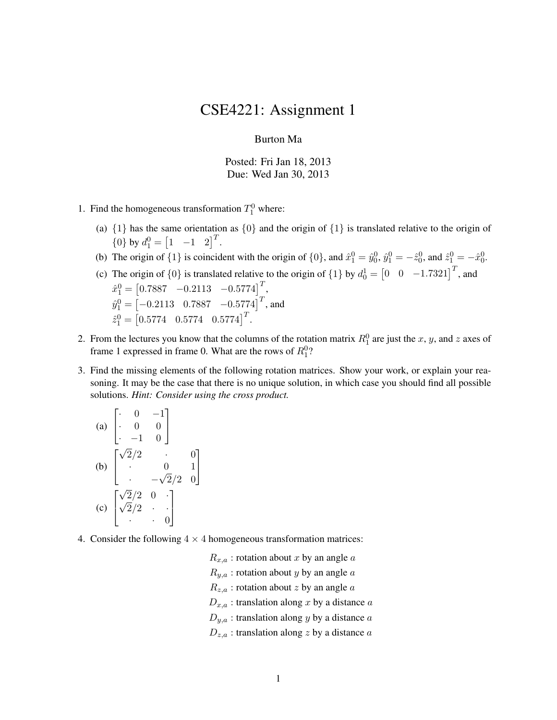## CSE4221: Assignment 1

## Burton Ma

Posted: Fri Jan 18, 2013 Due: Wed Jan 30, 2013

- 1. Find the homogeneous transformation  $T_1^0$  where:
	- (a)  $\{1\}$  has the same orientation as  $\{0\}$  and the origin of  $\{1\}$  is translated relative to the origin of  ${0}$  by  $d_1^0 = \begin{bmatrix} 1 & -1 & 2 \end{bmatrix}^T$ .
	- (b) The origin of  $\{1\}$  is coincident with the origin of  $\{0\}$ , and  $\hat{x}_1^0 = \hat{y}_0^0$ ,  $\hat{y}_1^0 = -\hat{z}_0^0$ , and  $\hat{z}_1^0 = -\hat{x}_0^0$ .
	- (c) The origin of  $\{0\}$  is translated relative to the origin of  $\{1\}$  by  $d_0^1 = \begin{bmatrix} 0 & 0 & -1.7321 \end{bmatrix}^T$ , and  $\hat{x}_1^0 = \begin{bmatrix} 0.7887 & -0.2113 & -0.5774 \end{bmatrix}^T$ ,  $\hat{y}_{1}^{0} = \begin{bmatrix} -0.2113 & 0.7887 & -0.5774 \end{bmatrix}^{T}$ , and  $\hat{z}_1^0 = \begin{bmatrix} 0.5774 & 0.5774 & 0.5774 \end{bmatrix}^T$ .
- 2. From the lectures you know that the columns of the rotation matrix  $R_1^0$  are just the x, y, and z axes of frame 1 expressed in frame 0. What are the rows of  $R_1^0$ ?
- 3. Find the missing elements of the following rotation matrices. Show your work, or explain your reasoning. It may be the case that there is no unique solution, in which case you should find all possible solutions. *Hint: Consider using the cross product.*

(a) 
$$
\begin{bmatrix} 0 & -1 \\ 0 & 0 \\ -1 & 0 \end{bmatrix}
$$
  
\n(b) 
$$
\begin{bmatrix} \sqrt{2}/2 & 0 & 0 \\ 0 & 0 & 1 \\ 0 & -\sqrt{2}/2 & 0 \end{bmatrix}
$$
  
\n(c) 
$$
\begin{bmatrix} \sqrt{2}/2 & 0 & 0 \\ \sqrt{2}/2 & 0 & 0 \\ 0 & 0 & 0 \end{bmatrix}
$$

4. Consider the following  $4 \times 4$  homogeneous transformation matrices:

 $R_{x,a}$ : rotation about x by an angle a  $R_{y,a}$ : rotation about y by an angle a  $R_{z,a}$ : rotation about z by an angle  $a$  $D_{x,a}$ : translation along x by a distance a  $D_{y,a}$ : translation along y by a distance a  $D_{z,a}$ : translation along z by a distance a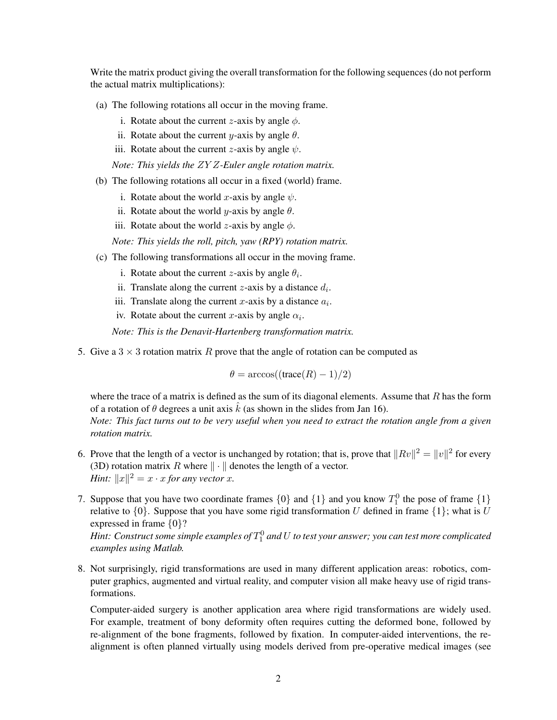Write the matrix product giving the overall transformation for the following sequences (do not perform the actual matrix multiplications):

- (a) The following rotations all occur in the moving frame.
	- i. Rotate about the current *z*-axis by angle  $\phi$ .
	- ii. Rotate about the current y-axis by angle  $\theta$ .
	- iii. Rotate about the current *z*-axis by angle  $\psi$ .

*Note: This yields the* ZY Z*-Euler angle rotation matrix.*

- (b) The following rotations all occur in a fixed (world) frame.
	- i. Rotate about the world x-axis by angle  $\psi$ .
	- ii. Rotate about the world *y*-axis by angle  $\theta$ .
	- iii. Rotate about the world z-axis by angle  $\phi$ .

*Note: This yields the roll, pitch, yaw (RPY) rotation matrix.*

- (c) The following transformations all occur in the moving frame.
	- i. Rotate about the current *z*-axis by angle  $\theta_i$ .
	- ii. Translate along the current *z*-axis by a distance  $d_i$ .
	- iii. Translate along the current x-axis by a distance  $a_i$ .
	- iv. Rotate about the current x-axis by angle  $\alpha_i$ .

*Note: This is the Denavit-Hartenberg transformation matrix.*

5. Give a  $3 \times 3$  rotation matrix R prove that the angle of rotation can be computed as

 $\theta = \arccos((\text{trace}(R) - 1)/2)$ 

where the trace of a matrix is defined as the sum of its diagonal elements. Assume that  $R$  has the form of a rotation of  $\theta$  degrees a unit axis  $\hat{k}$  (as shown in the slides from Jan 16).

*Note: This fact turns out to be very useful when you need to extract the rotation angle from a given rotation matrix.*

- 6. Prove that the length of a vector is unchanged by rotation; that is, prove that  $||Rv||^2 = ||v||^2$  for every (3D) rotation matrix R where  $\|\cdot\|$  denotes the length of a vector. *Hint:*  $||x||^2 = x \cdot x$  *for any vector x*.
- 7. Suppose that you have two coordinate frames  $\{0\}$  and  $\{1\}$  and you know  $T_1^0$  the pose of frame  $\{1\}$ relative to  $\{0\}$ . Suppose that you have some rigid transformation U defined in frame  $\{1\}$ ; what is U expressed in frame {0}?

Hint: Construct some simple examples of  $T_1^0$  and  $U$  to test your answer; you can test more complicated *examples using Matlab.*

8. Not surprisingly, rigid transformations are used in many different application areas: robotics, computer graphics, augmented and virtual reality, and computer vision all make heavy use of rigid transformations.

Computer-aided surgery is another application area where rigid transformations are widely used. For example, treatment of bony deformity often requires cutting the deformed bone, followed by re-alignment of the bone fragments, followed by fixation. In computer-aided interventions, the realignment is often planned virtually using models derived from pre-operative medical images (see